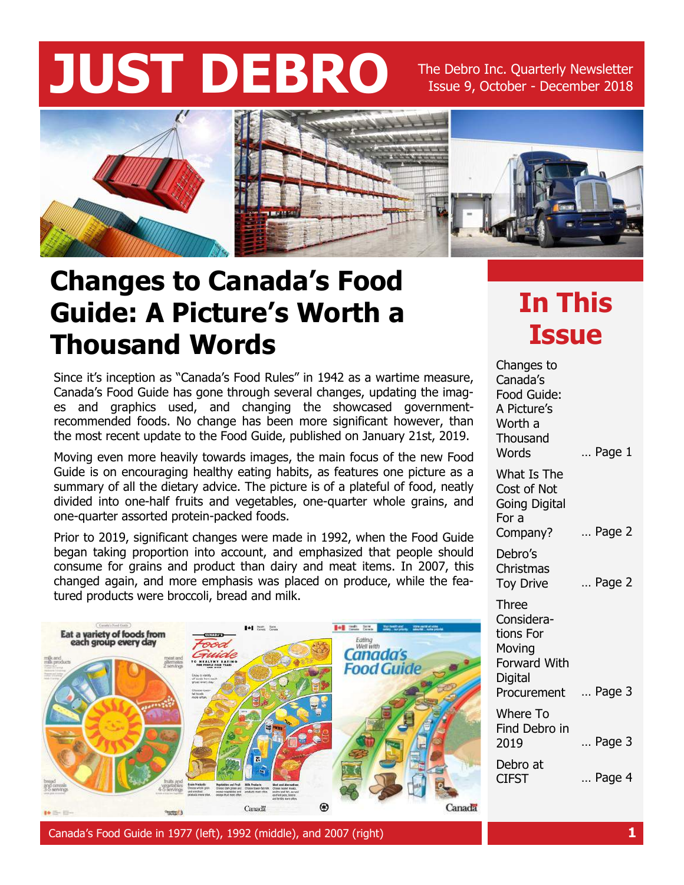# **JUST DEBRO** The Debro Inc. Quarterly Newsletter

Issue 9, October - December 2018



#### **Changes to Canada's Food Guide: A Picture's Worth a Thousand Words**

Since it's inception as "Canada's Food Rules" in 1942 as a wartime measure, Canada's Food Guide has gone through several changes, updating the images and graphics used, and changing the showcased governmentrecommended foods. No change has been more significant however, than the most recent update to the Food Guide, published on January 21st, 2019.

Moving even more heavily towards images, the main focus of the new Food Guide is on encouraging healthy eating habits, as features one picture as a summary of all the dietary advice. The picture is of a plateful of food, neatly divided into one-half fruits and vegetables, one-quarter whole grains, and one-quarter assorted protein-packed foods.

Prior to 2019, significant changes were made in 1992, when the Food Guide began taking proportion into account, and emphasized that people should consume for grains and product than dairy and meat items. In 2007, this changed again, and more emphasis was placed on produce, while the featured products were broccoli, bread and milk.



**In This Issue**

… Page 1 … Page 2 … Page 2 … Page 3 … Page 3 … Page 4 Changes to Canada's Food Guide: A Picture's Worth a **Thousand Words** What Is The Cost of Not Going Digital For a Company? Debro's Christmas Toy Drive Three Considerations For Moving Forward With **Digital** Procurement Where To Find Debro in 2019 Debro at CIFST

Canada's Food Guide in 1977 (left), 1992 (middle), and 2007 (right) **1**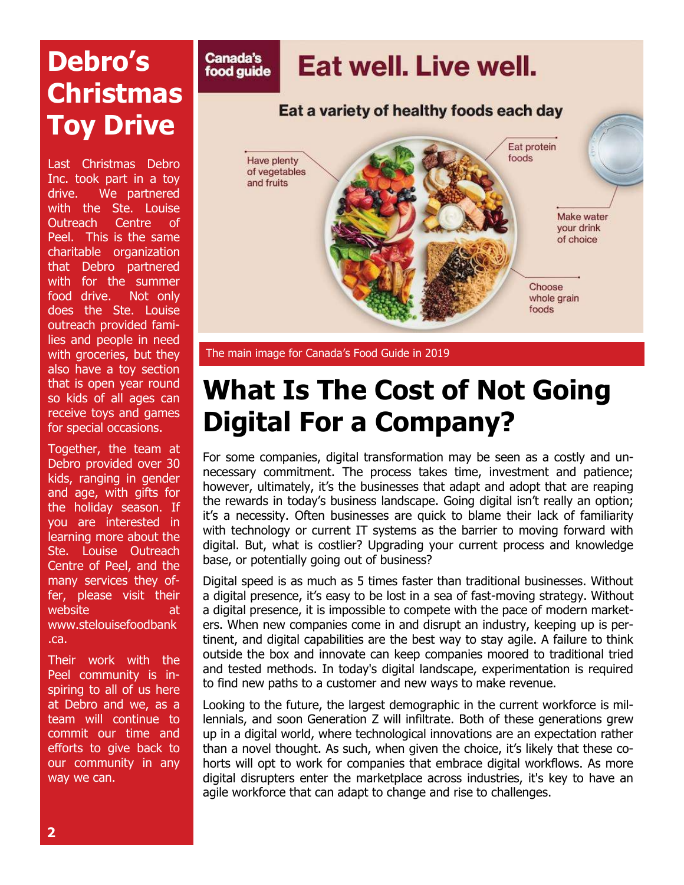## **Debro's Christmas Toy Drive**

Last Christmas Debro Inc. took part in a toy drive. We partnered with the Ste. Louise Outreach Centre of Peel. This is the same charitable organization that Debro partnered with for the summer food drive. Not only does the Ste. Louise outreach provided families and people in need with groceries, but they also have a toy section that is open year round so kids of all ages can receive toys and games for special occasions.

Together, the team at Debro provided over 30 kids, ranging in gender and age, with gifts for the holiday season. If you are interested in learning more about the Ste. Louise Outreach Centre of Peel, and the many services they offer, please visit their website at www.stelouisefoodbank .ca.

Their work with the Peel community is inspiring to all of us here at Debro and we, as a team will continue to commit our time and efforts to give back to our community in any way we can.



The main image for Canada's Food Guide in 2019

#### **What Is The Cost of Not Going Digital For a Company?**

For some companies, digital transformation may be seen as a costly and unnecessary commitment. The process takes time, investment and patience; however, ultimately, it's the businesses that adapt and adopt that are reaping the rewards in today's business landscape. Going digital isn't really an option; it's a necessity. Often businesses are quick to blame their lack of familiarity with technology or current IT systems as the barrier to moving forward with digital. But, what is costlier? Upgrading your current process and knowledge base, or potentially going out of business?

Digital speed is as much as 5 times faster than traditional businesses. Without a digital presence, it's easy to be lost in a sea of fast-moving strategy. Without a digital presence, it is impossible to compete with the pace of modern marketers. When new companies come in and disrupt an industry, keeping up is pertinent, and digital capabilities are the best way to stay agile. A failure to think outside the box and innovate can keep companies moored to traditional tried and tested methods. In today's digital landscape, experimentation is required to find new paths to a customer and new ways to make revenue.

Looking to the future, the largest demographic in the current workforce is millennials, and soon Generation Z will infiltrate. Both of these generations grew up in a digital world, where technological innovations are an expectation rather than a novel thought. As such, when given the choice, it's likely that these cohorts will opt to work for companies that embrace digital workflows. As more digital disrupters enter the marketplace across industries, it's key to have an agile workforce that can adapt to change and rise to challenges.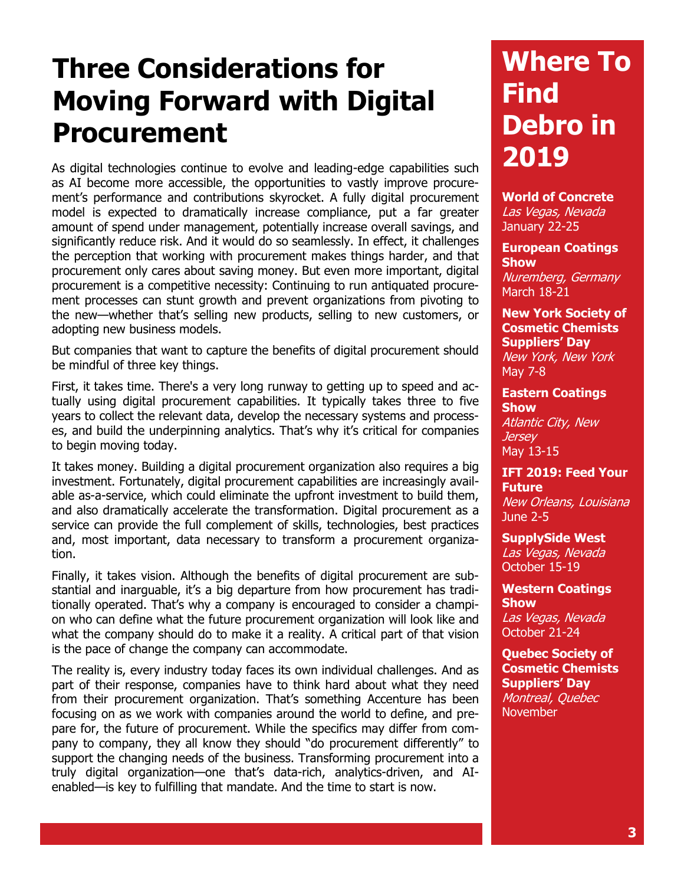#### **Three Considerations for Moving Forward with Digital Procurement**

As digital technologies continue to evolve and leading-edge capabilities such as AI become more accessible, the opportunities to vastly improve procurement's performance and contributions skyrocket. A fully digital procurement model is expected to dramatically increase compliance, put a far greater amount of spend under management, potentially increase overall savings, and significantly reduce risk. And it would do so seamlessly. In effect, it challenges the perception that working with procurement makes things harder, and that procurement only cares about saving money. But even more important, digital procurement is a competitive necessity: Continuing to run antiquated procurement processes can stunt growth and prevent organizations from pivoting to the new—whether that's selling new products, selling to new customers, or adopting new business models.

But companies that want to capture the benefits of digital procurement should be mindful of three key things.

First, it takes time. There's a very long runway to getting up to speed and actually using digital procurement capabilities. It typically takes three to five years to collect the relevant data, develop the necessary systems and processes, and build the underpinning analytics. That's why it's critical for companies to begin moving today.

It takes money. Building a digital procurement organization also requires a big investment. Fortunately, digital procurement capabilities are increasingly available as-a-service, which could eliminate the upfront investment to build them, and also dramatically accelerate the transformation. Digital procurement as a service can provide the full complement of skills, technologies, best practices and, most important, data necessary to transform a procurement organization.

Finally, it takes vision. Although the benefits of digital procurement are substantial and inarguable, it's a big departure from how procurement has traditionally operated. That's why a company is encouraged to consider a champion who can define what the future procurement organization will look like and what the company should do to make it a reality. A critical part of that vision is the pace of change the company can accommodate.

The reality is, every industry today faces its own individual challenges. And as part of their response, companies have to think hard about what they need from their procurement organization. That's something Accenture has been focusing on as we work with companies around the world to define, and prepare for, the future of procurement. While the specifics may differ from company to company, they all know they should "do procurement differently" to support the changing needs of the business. Transforming procurement into a truly digital organization—one that's data-rich, analytics-driven, and AIenabled—is key to fulfilling that mandate. And the time to start is now.

### **Where To Find Debro in 2019**

**World of Concrete** Las Vegas, Nevada January 22-25

**European Coatings Show**  Nuremberg, Germany

March 18-21

**New York Society of Cosmetic Chemists Suppliers' Day** New York, New York May 7-8

**Eastern Coatings Show** Atlantic City, New *Jersey* May 13-15

#### **IFT 2019: Feed Your Future** New Orleans, Louisiana June 2-5

**SupplySide West** Las Vegas, Nevada October 15-19

**Western Coatings Show** Las Vegas, Nevada October 21-24

**Quebec Society of Cosmetic Chemists Suppliers' Day** Montreal, Quebec November